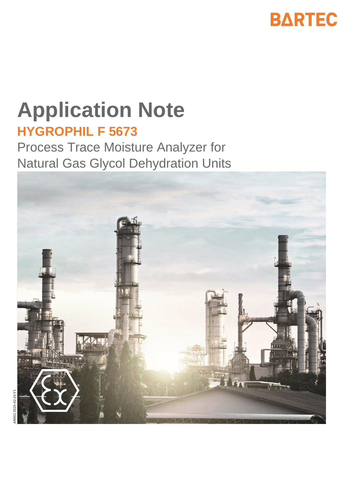

# **Application Note HYGROPHIL F 5673**

Process Trace Moisture Analyzer for Natural Gas Glycol Dehydration Units

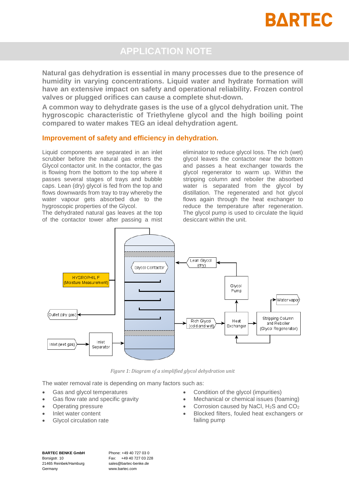

## **APPLICATION NOTE**

**Natural gas dehydration is essential in many processes due to the presence of humidity in varying concentrations. Liquid water and hydrate formation will have an extensive impact on safety and operational reliability. Frozen control valves or plugged orifices can cause a complete shut-down.**

**A common way to dehydrate gases is the use of a glycol dehydration unit. The hygroscopic characteristic of Triethylene glycol and the high boiling point compared to water makes TEG an ideal dehydration agent.**

#### **Improvement of safety and efficiency in dehydration.**

Liquid components are separated in an inlet scrubber before the natural gas enters the Glycol contactor unit. In the contactor, the gas is flowing from the bottom to the top where it passes several stages of trays and bubble caps. Lean (dry) glycol is fed from the top and flows downwards from tray to tray whereby the water vapour gets absorbed due to the hygroscopic properties of the Glycol.

The dehydrated natural gas leaves at the top of the contactor tower after passing a mist

eliminator to reduce glycol loss. The rich (wet) glycol leaves the contactor near the bottom and passes a heat exchanger towards the glycol regenerator to warm up. Within the stripping column and reboiler the absorbed water is separated from the glycol by distillation. The regenerated and hot glycol flows again through the heat exchanger to reduce the temperature after regeneration. The glycol pump is used to circulate the liquid desiccant within the unit.



*Figure 1: Diagram of a simplified glycol dehydration unit*

The water removal rate is depending on many factors such as:

- Gas and glycol temperatures
- Gas flow rate and specific gravity
- Operating pressure
- Inlet water content
- Glycol circulation rate
- Condition of the glycol (impurities)
- Mechanical or chemical issues (foaming)
- Corrosion caused by NaCl, H2S and CO<sup>2</sup>
- Blocked filters, fouled heat exchangers or failing pump

**BARTEC BENKE GmbH** Borsigstr. 10 21465 Reinbek/Hamburg Germany

Phone: +49 40 727 03 0 Fax: +49 40 727 03 228 sales@bartec-benke.de www.bartec.com